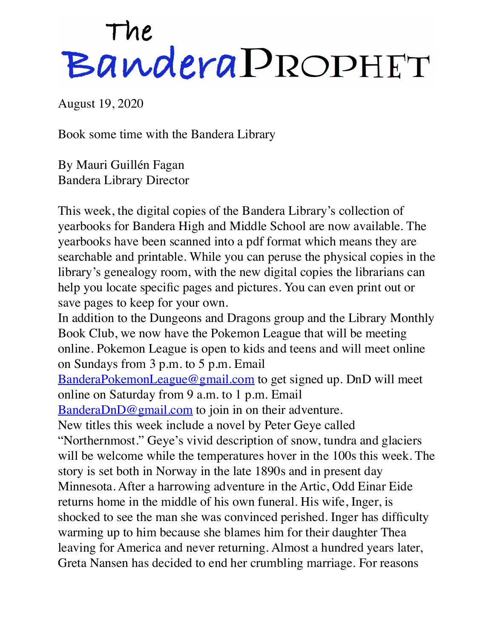## The<br>Bandera PROPHET

August 19, 2020

Book some time with the Bandera Library

By Mauri Guillén Fagan Bandera Library Director

This week, the digital copies of the Bandera Library's collection of yearbooks for Bandera High and Middle School are now available. The yearbooks have been scanned into a pdf format which means they are searchable and printable. While you can peruse the physical copies in the library's genealogy room, with the new digital copies the librarians can help you locate specific pages and pictures. You can even print out or save pages to keep for your own. In addition to the Dungeons and Dragons group and the Library Monthly

Book Club, we now have the Pokemon League that will be meeting online. Pokemon League is open to kids and teens and will meet online on Sundays from 3 p.m. to 5 p.m. Email

[BanderaPokemonLeague@gmail.com](mailto:BanderaPokemonLeague@gmail.com) to get signed up. DnD will meet online on Saturday from 9 a.m. to 1 p.m. Email

[BanderaDnD@gmail.com](mailto:BanderaDnD@gmail.com) to join in on their adventure.

New titles this week include a novel by Peter Geye called

"Northernmost." Geye's vivid description of snow, tundra and glaciers will be welcome while the temperatures hover in the 100s this week. The story is set both in Norway in the late 1890s and in present day Minnesota. After a harrowing adventure in the Artic, Odd Einar Eide returns home in the middle of his own funeral. His wife, Inger, is shocked to see the man she was convinced perished. Inger has difficulty warming up to him because she blames him for their daughter Thea leaving for America and never returning. Almost a hundred years later, Greta Nansen has decided to end her crumbling marriage. For reasons